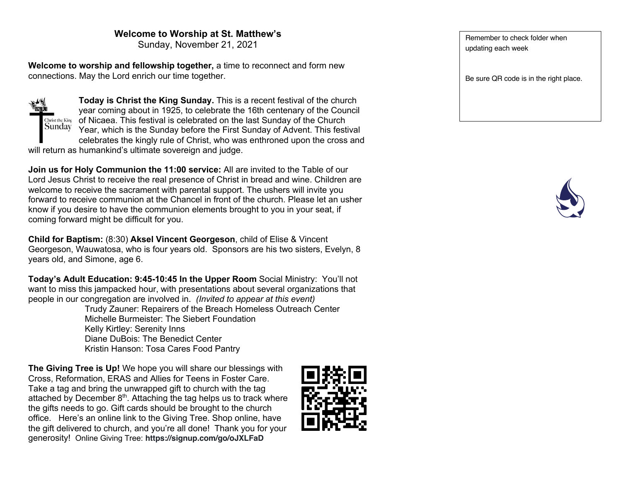### **Welcome to Worship at St. Matthew's**

Sunday, November 21, 2021

**Welcome to worship and fellowship together,** a time to reconnect and form new connections. May the Lord enrich our time together.



**Today is Christ the King Sunday.** This is a recent festival of the church year coming about in 1925, to celebrate the 16th centenary of the Council of Nicaea. This festival is celebrated on the last Sunday of the Church Year, which is the Sunday before the First Sunday of Advent. This festival celebrates the kingly rule of Christ, who was enthroned upon the cross and

will return as humankind's ultimate sovereign and judge.

**Join us for Holy Communion the 11:00 service:** All are invited to the Table of our Lord Jesus Christ to receive the real presence of Christ in bread and wine. Children are welcome to receive the sacrament with parental support. The ushers will invite you forward to receive communion at the Chancel in front of the church. Please let an usher know if you desire to have the communion elements brought to you in your seat, if coming forward might be difficult for you.

**Child for Baptism:** (8:30) **Aksel Vincent Georgeson**, child of Elise & Vincent Georgeson, Wauwatosa, who is four years old. Sponsors are his two sisters, Evelyn, 8 years old, and Simone, age 6.

**Today's Adult Education: 9:45-10:45 In the Upper Room** Social Ministry: You'll not want to miss this jampacked hour, with presentations about several organizations that people in our congregation are involved in. *(Invited to appear at this event)*

Trudy Zauner: Repairers of the Breach Homeless Outreach Center Michelle Burmeister: The Siebert Foundation Kelly Kirtley: Serenity Inns Diane DuBois: The Benedict Center Kristin Hanson: Tosa Cares Food Pantry

**The Giving Tree is Up!** We hope you will share our blessings with Cross, Reformation, ERAS and Allies for Teens in Foster Care. Take a tag and bring the unwrapped gift to church with the tag attached by December  $8<sup>th</sup>$ . Attaching the tag helps us to track where the gifts needs to go. Gift cards should be brought to the church office. Here's an online link to the Giving Tree. Shop online, have the gift delivered to church, and you're all done! Thank you for your generosity! Online Giving Tree: **https://signup.com/go/oJXLFaD**

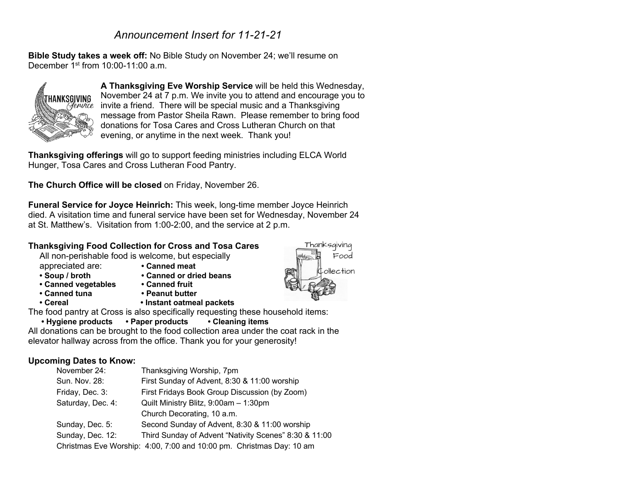# *Announcement Insert for 11-21-21*

**Bible Study takes a week off:** No Bible Study on November 24; we'll resume on December  $1<sup>st</sup>$  from  $10:00-11:00$  a.m.



**A Thanksgiving Eve Worship Service** will be held this Wednesday, November 24 at 7 p.m. We invite you to attend and encourage you to invite a friend. There will be special music and a Thanksgiving message from Pastor Sheila Rawn. Please remember to bring food donations for Tosa Cares and Cross Lutheran Church on that evening, or anytime in the next week. Thank you!

**Thanksgiving offerings** will go to support feeding ministries including ELCA World Hunger, Tosa Cares and Cross Lutheran Food Pantry.

**The Church Office will be closed** on Friday, November 26.

**Funeral Service for Joyce Heinrich:** This week, long-time member Joyce Heinrich died. A visitation time and funeral service have been set for Wednesday, November 24 at St. Matthew's. Visitation from 1:00-2:00, and the service at 2 p.m.

### **Thanksgiving Food Collection for Cross and Tosa Cares**

All non-perishable food is welcome, but especially appreciated are: **• Canned meat**

- 
- **• Soup / broth • Canned or dried beans**
- **• Canned vegetables • Canned fruit**
- 
- 
- 
- 
- **• Canned tuna • Peanut butter**
- **• Cereal • Instant oatmeal packets**

The food pantry at Cross is also specifically requesting these household items:

## **• Hygiene products • Paper products • Cleaning items**

All donations can be brought to the food collection area under the coat rack in the elevator hallway across from the office. Thank you for your generosity!

### **Upcoming Dates to Know:**

| November 24:      | Thanksgiving Worship, 7pm                                            |
|-------------------|----------------------------------------------------------------------|
| Sun. Nov. 28:     | First Sunday of Advent, 8:30 & 11:00 worship                         |
| Friday, Dec. 3:   | First Fridays Book Group Discussion (by Zoom)                        |
| Saturday, Dec. 4: | Quilt Ministry Blitz, 9:00am - 1:30pm                                |
|                   | Church Decorating, 10 a.m.                                           |
| Sunday, Dec. 5:   | Second Sunday of Advent, 8:30 & 11:00 worship                        |
| Sunday, Dec. 12:  | Third Sunday of Advent "Nativity Scenes" 8:30 & 11:00                |
|                   | Christmas Eve Worship: 4:00, 7:00 and 10:00 pm. Christmas Day: 10 am |

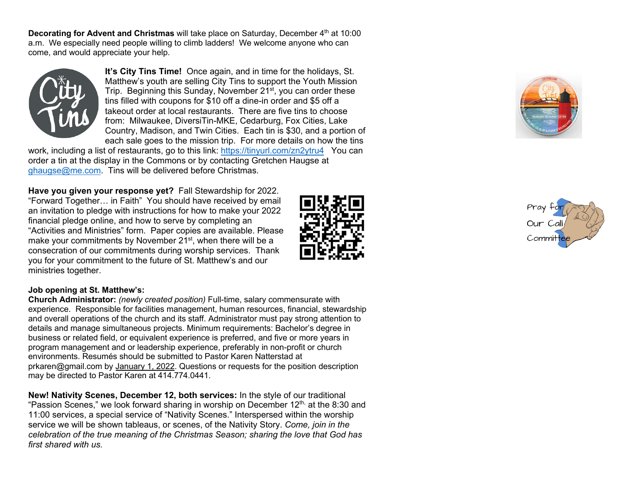**Decorating for Advent and Christmas** will take place on Saturday, December 4<sup>th</sup> at 10:00 a.m. We especially need people willing to climb ladders! We welcome anyone who can come, and would appreciate your help.



**It's City Tins Time!** Once again, and in time for the holidays, St. Matthew's youth are selling City Tins to support the Youth Mission Trip. Beginning this Sunday, November 21<sup>st</sup>, you can order these tins filled with coupons for \$10 off a dine-in order and \$5 off a takeout order at local restaurants. There are five tins to choose from: Milwaukee, DiversiTin-MKE, Cedarburg, Fox Cities, Lake Country, Madison, and Twin Cities. Each tin is \$30, and a portion of each sale goes to the mission trip. For more details on how the tins

work, including a list of restaurants, go to this link: https://tinyurl.com/zn2ytru4You can order a tin at the display in the Commons or by contacting Gretchen Haugse at ghaugse@me.com. Tins will be delivered before Christmas.

**Have you given your response yet?** Fall Stewardship for 2022. "Forward Together… in Faith" You should have received by email an invitation to pledge with instructions for how to make your 2022 financial pledge online, and how to serve by completing an "Activities and Ministries" form. Paper copies are available. Please make your commitments by November 21<sup>st</sup>, when there will be a consecration of our commitments during worship services. Thank you for your commitment to the future of St. Matthew's and our ministries together.



### **Job opening at St. Matthew's:**

**Church Administrator:** *(newly created position)* Full-time, salary commensurate with experience. Responsible for facilities management, human resources, financial, stewardship and overall operations of the church and its staff. Administrator must pay strong attention to details and manage simultaneous projects. Minimum requirements: Bachelor's degree in business or related field, or equivalent experience is preferred, and five or more years in program management and or leadership experience, preferably in non-profit or church environments. Resumés should be submitted to Pastor Karen Natterstad at prkaren@gmail.com by January 1, 2022. Questions or requests for the position description may be directed to Pastor Karen at 414.774.0441.

**New! Nativity Scenes, December 12, both services:** In the style of our traditional "Passion Scenes," we look forward sharing in worship on December  $12<sup>th</sup>$  at the 8:30 and 11:00 services, a special service of "Nativity Scenes." Interspersed within the worship service we will be shown tableaus, or scenes, of the Nativity Story. *Come, join in the celebration of the true meaning of the Christmas Season; sharing the love that God has first shared with us.*